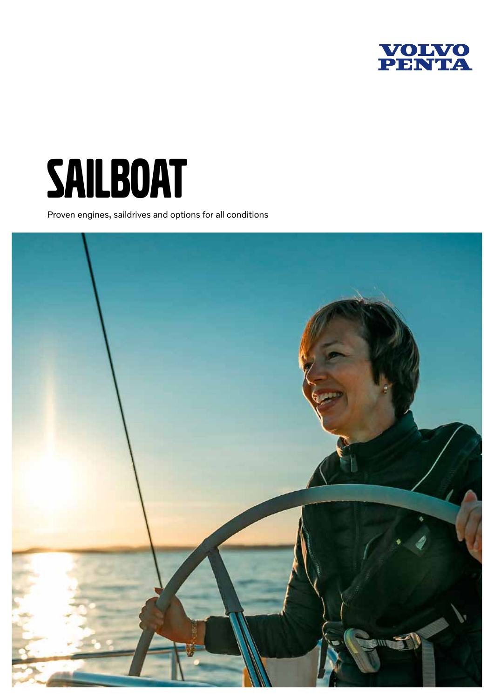



Proven engines, saildrives and options for all conditions

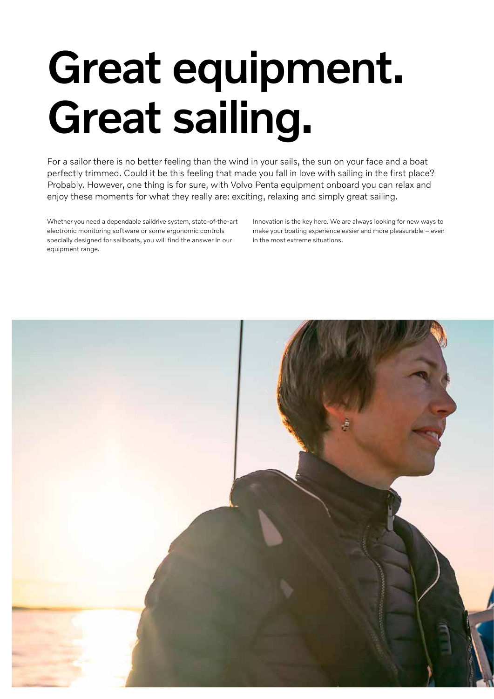# Great equipment. Great sailing.

For a sailor there is no better feeling than the wind in your sails, the sun on your face and a boat perfectly trimmed. Could it be this feeling that made you fall in love with sailing in the first place? Probably. However, one thing is for sure, with Volvo Penta equipment onboard you can relax and enjoy these moments for what they really are: exciting, relaxing and simply great sailing.

Whether you need a dependable saildrive system, state-of-the-art electronic monitoring software or some ergonomic controls specially designed for sailboats, you will find the answer in our equipment range.

Innovation is the key here. We are always looking for new ways to make your boating experience easier and more pleasurable – even in the most extreme situations.

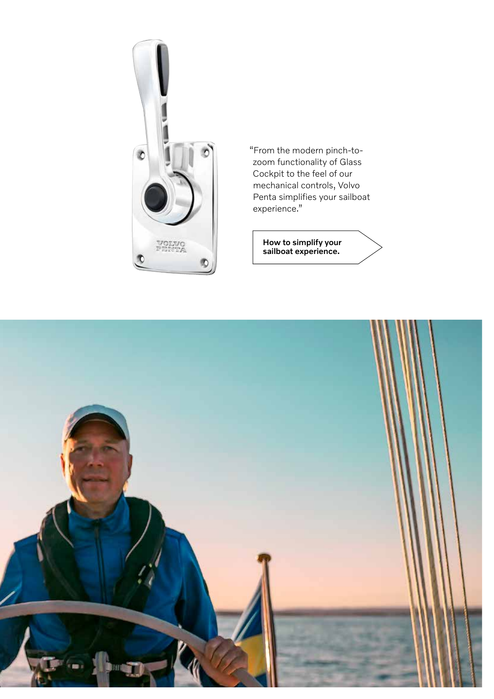

"From the modern pinch-tozoom functionality of Glass Cockpit to the feel of our mechanical controls, Volvo Penta simplifies your sailboat experience."

> How to simplify your sailboat experience.

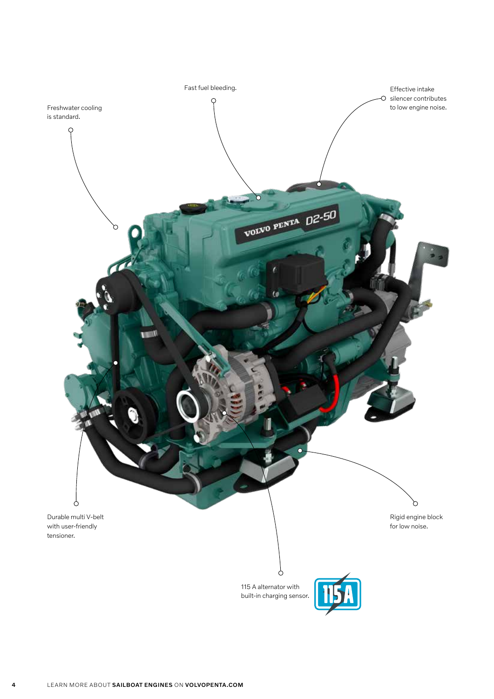

4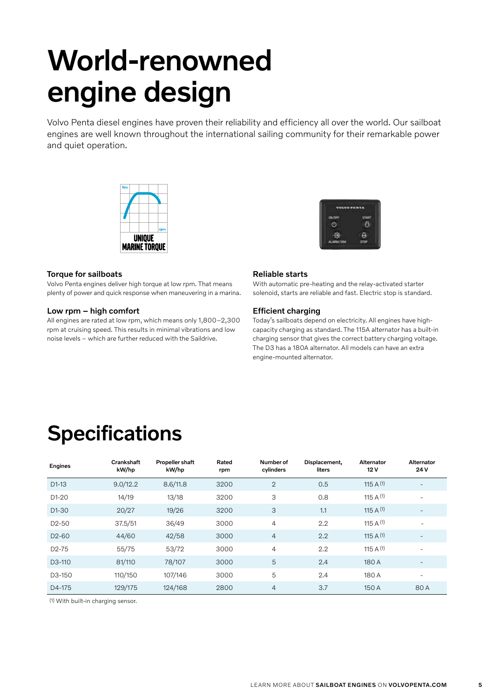## World-renowned engine design

Volvo Penta diesel engines have proven their reliability and efficiency all over the world. Our sailboat engines are well known throughout the international sailing community for their remarkable power and quiet operation.





#### Torque for sailboats

Volvo Penta engines deliver high torque at low rpm. That means plenty of power and quick response when maneuvering in a marina.

#### Low rpm – high comfort

All engines are rated at low rpm, which means only 1,800–2,300 rpm at cruising speed. This results in minimal vibrations and low noise levels – which are further reduced with the Saildrive.

#### Reliable starts

With automatic pre-heating and the relay-activated starter solenoid, starts are reliable and fast. Electric stop is standard.

#### Efficient charging

Today's sailboats depend on electricity. All engines have highcapacity charging as standard. The 115A alternator has a built-in charging sensor that gives the correct battery charging voltage. The D3 has a 180A alternator. All models can have an extra engine-mounted alternator.

### **Specifications**

| Engines             | Crankshaft<br>kW/hp | <b>Propeller shaft</b><br>kW/hp | Rated<br>rpm | Number of<br>cylinders | Displacement,<br>liters | Alternator<br>12V | Alternator<br>24 V       |
|---------------------|---------------------|---------------------------------|--------------|------------------------|-------------------------|-------------------|--------------------------|
| $D1-13$             | 9.0/12.2            | 8.6/11.8                        | 3200         | $\mathbf{2}$           | 0.5                     | 115 A $(1)$       | $\overline{\phantom{m}}$ |
| $D1-20$             | 14/19               | 13/18                           | 3200         | 3                      | 0.8                     | 115 A $(1)$       | $\overline{\phantom{a}}$ |
| D <sub>1</sub> -30  | 20/27               | 19/26                           | 3200         | 3                      | 1.1                     | 115 A $(1)$       | $\overline{\phantom{a}}$ |
| D <sub>2</sub> -50  | 37.5/51             | 36/49                           | 3000         | $\overline{4}$         | 2.2                     | 115 A $(1)$       | $\overline{\phantom{a}}$ |
| D <sub>2</sub> -60  | 44/60               | 42/58                           | 3000         | $\overline{4}$         | 2.2                     | 115 A $(1)$       | $\overline{\phantom{a}}$ |
| $D2-75$             | 55/75               | 53/72                           | 3000         | $\overline{4}$         | 2.2                     | 115 A $(1)$       |                          |
| D <sub>3</sub> -110 | 81/110              | 78/107                          | 3000         | 5                      | 2.4                     | 180 A             |                          |
| D3-150              | 110/150             | 107/146                         | 3000         | 5                      | 2.4                     | 180 A             | $\overline{\phantom{a}}$ |
| D4-175              | 129/175             | 124/168                         | 2800         | $\overline{4}$         | 3.7                     | 150 A             | 80A                      |

(1) With built-in charging sensor.

5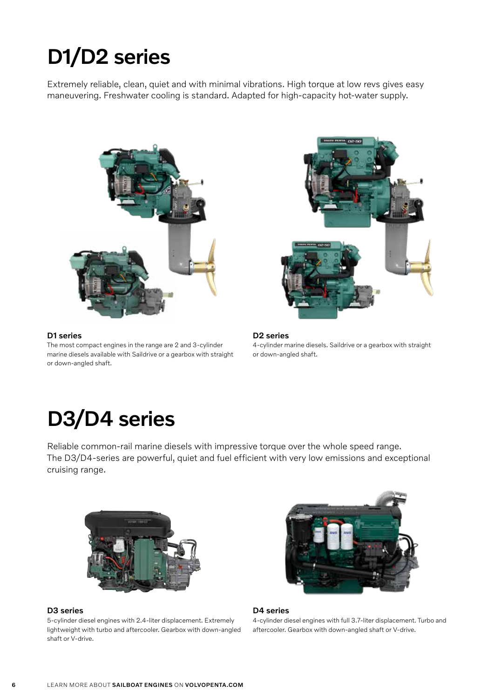### D1/D2 series

Extremely reliable, clean, quiet and with minimal vibrations. High torque at low revs gives easy maneuvering. Freshwater cooling is standard. Adapted for high-capacity hot-water supply.



#### D1 series

The most compact engines in the range are 2 and 3-cylinder marine diesels available with Saildrive or a gearbox with straight or down-angled shaft.



D2 series

4-cylinder marine diesels. Saildrive or a gearbox with straight or down-angled shaft.

### D3/D4 series

Reliable common-rail marine diesels with impressive torque over the whole speed range. The D3/D4-series are powerful, quiet and fuel efficient with very low emissions and exceptional cruising range.



#### D3 series

5-cylinder diesel engines with 2.4-liter displacement. Extremely lightweight with turbo and aftercooler. Gearbox with down-angled shaft or V-drive.



#### D4 series

4-cylinder diesel engines with full 3.7-liter displacement. Turbo and aftercooler. Gearbox with down-angled shaft or V-drive.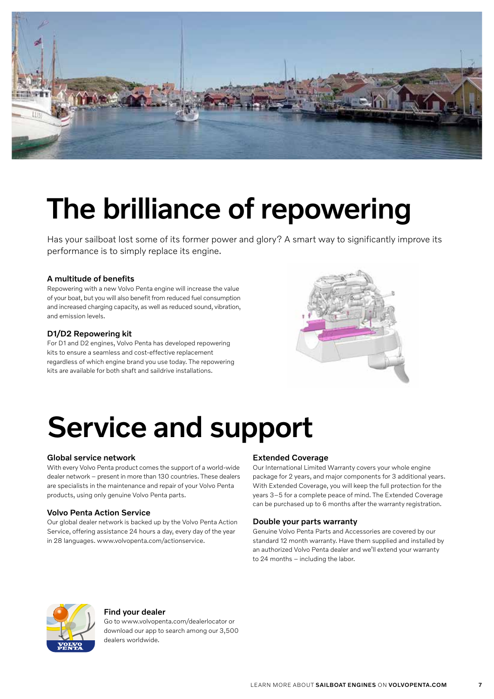

## The brilliance of repowering

Has your sailboat lost some of its former power and glory? A smart way to significantly improve its performance is to simply replace its engine.

#### A multitude of benefits

Repowering with a new Volvo Penta engine will increase the value of your boat, but you will also benefit from reduced fuel consumption and increased charging capacity, as well as reduced sound, vibration, and emission levels.

#### D1/D2 Repowering kit

For D1 and D2 engines, Volvo Penta has developed repowering kits to ensure a seamless and cost-effective replacement regardless of which engine brand you use today. The repowering kits are available for both shaft and saildrive installations.



### Service and support

#### Global service network

With every Volvo Penta product comes the support of a world-wide dealer network – present in more than 130 countries. These dealers are specialists in the maintenance and repair of your Volvo Penta products, using only genuine Volvo Penta parts.

#### Volvo Penta Action Service

Our global dealer network is backed up by the Volvo Penta Action Service, offering assistance 24 hours a day, every day of the year in 28 languages. www.volvopenta.com/actionservice.

#### Extended Coverage

Our International Limited Warranty covers your whole engine package for 2 years, and major components for 3 additional years. With Extended Coverage, you will keep the full protection for the years 3–5 for a complete peace of mind. The Extended Coverage can be purchased up to 6 months after the warranty registration.

#### Double your parts warranty

Genuine Volvo Penta Parts and Accessories are covered by our standard 12 month warranty. Have them supplied and installed by an authorized Volvo Penta dealer and we'll extend your warranty to 24 months – including the labor.



#### Find your dealer

Go to www.volvopenta.com/dealerlocator or download our app to search among our 3,500 dealers worldwide.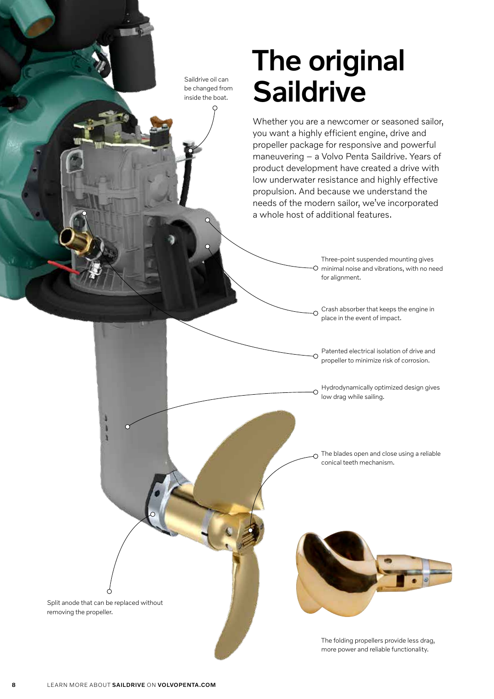Saildrive oil can be changed from inside the boat.

### The original **Saildrive**

Whether you are a newcomer or seasoned sailor, you want a highly efficient engine, drive and propeller package for responsive and powerful maneuvering – a Volvo Penta Saildrive. Years of product development have created a drive with low underwater resistance and highly effective propulsion. And because we understand the needs of the modern sailor, we've incorporated a whole host of additional features.

> Three-point suspended mounting gives O minimal noise and vibrations, with no need for alignment.

Crash absorber that keeps the engine in  $\overline{O}$ place in the event of impact.

Patented electrical isolation of drive and propeller to minimize risk of corrosion.

Ó

 $\circ$ 

Hydrodynamically optimized design gives low drag while sailing.

The blades open and close using a reliable conical teeth mechanism.



The folding propellers provide less drag, more power and reliable functionality.

Split anode that can be replaced without

removing the propeller.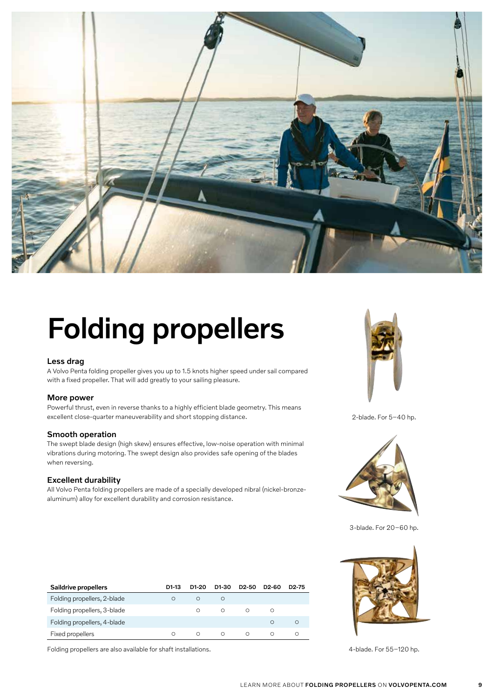

# Folding propellers

#### Less drag

A Volvo Penta folding propeller gives you up to 1.5 knots higher speed under sail compared with a fixed propeller. That will add greatly to your sailing pleasure.

#### More power

Powerful thrust, even in reverse thanks to a highly efficient blade geometry. This means excellent close-quarter maneuverability and short stopping distance.

#### Smooth operation

The swept blade design (high skew) ensures effective, low-noise operation with minimal vibrations during motoring. The swept design also provides safe opening of the blades when reversing.

#### Excellent durability

All Volvo Penta folding propellers are made of a specially developed nibral (nickel-bronzealuminum) alloy for excellent durability and corrosion resistance.

| Saildrive propellers        | D1-13 | D1-20 | D1-30 | D <sub>2</sub> -50 | D <sub>2</sub> -60 | D <sub>2</sub> -75 |
|-----------------------------|-------|-------|-------|--------------------|--------------------|--------------------|
| Folding propellers, 2-blade |       | Ω     | O     |                    |                    |                    |
| Folding propellers, 3-blade |       | ∩     | ∩     | ∩                  | ∩                  |                    |
| Folding propellers, 4-blade |       |       |       |                    | ∩                  | Ο                  |
| Fixed propellers            |       | Ο     | ∩     | $\bigcirc$         | ∩                  | ∩                  |

Folding propellers are also available for shaft installations. 4-blade. For 55-120 hp.



2-blade. For 5–40 hp.



3-blade. For 20–60 hp.

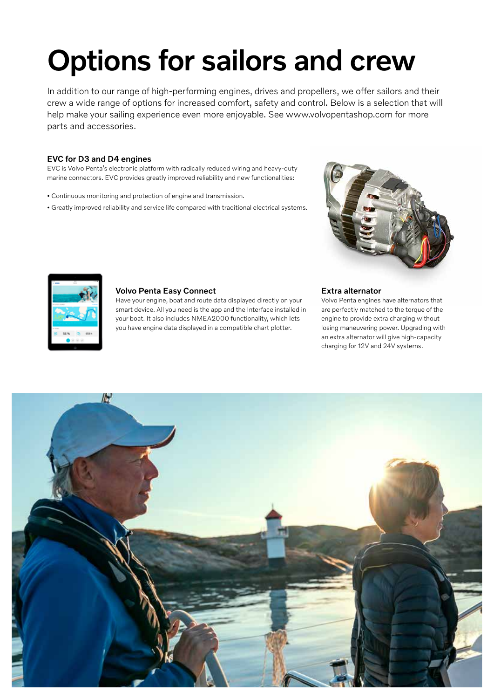# Options for sailors and crew

In addition to our range of high-performing engines, drives and propellers, we offer sailors and their crew a wide range of options for increased comfort, safety and control. Below is a selection that will help make your sailing experience even more enjoyable. See www.volvopentashop.com for more parts and accessories.

#### EVC for D3 and D4 engines

EVC is Volvo Penta's electronic platform with radically reduced wiring and heavy-duty marine connectors. EVC provides greatly improved reliability and new functionalities:

- Continuous monitoring and protection of engine and transmission.
- Greatly improved reliability and service life compared with traditional electrical systems.





Volvo Penta engines have alternators that are perfectly matched to the torque of the engine to provide extra charging without losing maneuvering power. Upgrading with an extra alternator will give high-capacity charging for 12V and 24V systems.



#### Volvo Penta Easy Connect

Have your engine, boat and route data displayed directly on your smart device. All you need is the app and the Interface installed in your boat. It also includes NMEA2000 functionality, which lets you have engine data displayed in a compatible chart plotter.

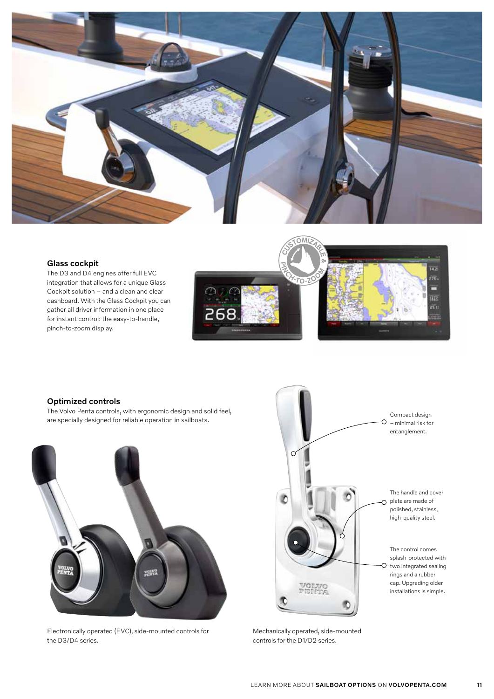

#### Glass cockpit

The D3 and D4 engines offer full EVC integration that allows for a unique Glass Cockpit solution – and a clean and clear dashboard. With the Glass Cockpit you can gather all driver information in one place for instant control: the easy-to-handle, pinch-to-zoom display.



#### Optimized controls

The Volvo Penta controls, with ergonomic design and solid feel, are specially designed for reliable operation in sailboats.



Electronically operated (EVC), side-mounted controls for the D3/D4 series.



Mechanically operated, side-mounted controls for the D1/D2 series.

11